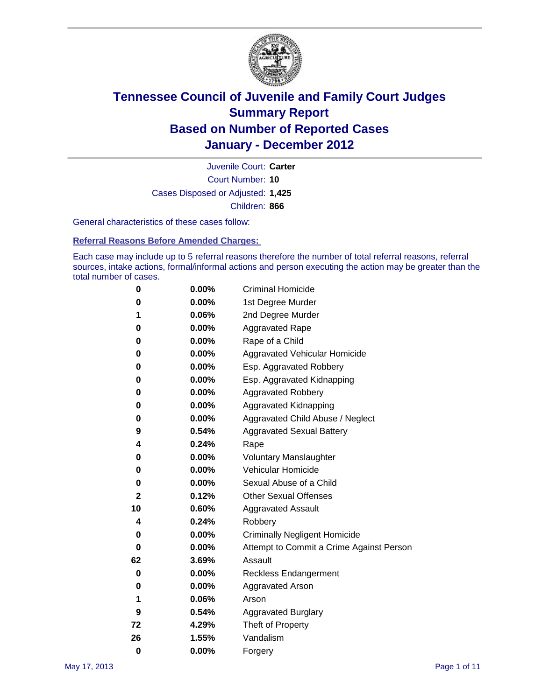

Court Number: **10** Juvenile Court: **Carter** Cases Disposed or Adjusted: **1,425** Children: **866**

General characteristics of these cases follow:

**Referral Reasons Before Amended Charges:** 

Each case may include up to 5 referral reasons therefore the number of total referral reasons, referral sources, intake actions, formal/informal actions and person executing the action may be greater than the total number of cases.

| 0  | 0.00% | <b>Criminal Homicide</b>                 |
|----|-------|------------------------------------------|
| 0  | 0.00% | 1st Degree Murder                        |
| 1  | 0.06% | 2nd Degree Murder                        |
| 0  | 0.00% | <b>Aggravated Rape</b>                   |
| 0  | 0.00% | Rape of a Child                          |
| 0  | 0.00% | Aggravated Vehicular Homicide            |
| 0  | 0.00% | Esp. Aggravated Robbery                  |
| 0  | 0.00% | Esp. Aggravated Kidnapping               |
| 0  | 0.00% | <b>Aggravated Robbery</b>                |
| 0  | 0.00% | Aggravated Kidnapping                    |
| 0  | 0.00% | Aggravated Child Abuse / Neglect         |
| 9  | 0.54% | <b>Aggravated Sexual Battery</b>         |
| 4  | 0.24% | Rape                                     |
| 0  | 0.00% | <b>Voluntary Manslaughter</b>            |
| 0  | 0.00% | Vehicular Homicide                       |
| 0  | 0.00% | Sexual Abuse of a Child                  |
| 2  | 0.12% | <b>Other Sexual Offenses</b>             |
| 10 | 0.60% | <b>Aggravated Assault</b>                |
| 4  | 0.24% | Robbery                                  |
| 0  | 0.00% | <b>Criminally Negligent Homicide</b>     |
| 0  | 0.00% | Attempt to Commit a Crime Against Person |
| 62 | 3.69% | Assault                                  |
| 0  | 0.00% | <b>Reckless Endangerment</b>             |
| 0  | 0.00% | <b>Aggravated Arson</b>                  |
| 1  | 0.06% | Arson                                    |
| 9  | 0.54% | <b>Aggravated Burglary</b>               |
| 72 | 4.29% | Theft of Property                        |
| 26 | 1.55% | Vandalism                                |
| 0  | 0.00% | Forgery                                  |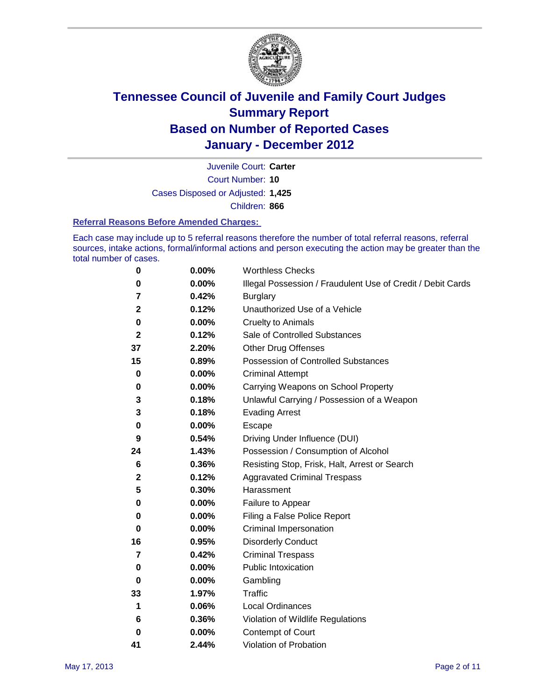

Court Number: **10** Juvenile Court: **Carter** Cases Disposed or Adjusted: **1,425** Children: **866**

#### **Referral Reasons Before Amended Charges:**

Each case may include up to 5 referral reasons therefore the number of total referral reasons, referral sources, intake actions, formal/informal actions and person executing the action may be greater than the total number of cases.

| 0            | 0.00% | <b>Worthless Checks</b>                                     |
|--------------|-------|-------------------------------------------------------------|
| 0            | 0.00% | Illegal Possession / Fraudulent Use of Credit / Debit Cards |
| 7            | 0.42% | <b>Burglary</b>                                             |
| $\mathbf{2}$ | 0.12% | Unauthorized Use of a Vehicle                               |
| 0            | 0.00% | <b>Cruelty to Animals</b>                                   |
| 2            | 0.12% | Sale of Controlled Substances                               |
| 37           | 2.20% | <b>Other Drug Offenses</b>                                  |
| 15           | 0.89% | Possession of Controlled Substances                         |
| 0            | 0.00% | <b>Criminal Attempt</b>                                     |
| 0            | 0.00% | Carrying Weapons on School Property                         |
| 3            | 0.18% | Unlawful Carrying / Possession of a Weapon                  |
| 3            | 0.18% | <b>Evading Arrest</b>                                       |
| 0            | 0.00% | Escape                                                      |
| 9            | 0.54% | Driving Under Influence (DUI)                               |
| 24           | 1.43% | Possession / Consumption of Alcohol                         |
| 6            | 0.36% | Resisting Stop, Frisk, Halt, Arrest or Search               |
| 2            | 0.12% | <b>Aggravated Criminal Trespass</b>                         |
| 5            | 0.30% | Harassment                                                  |
| 0            | 0.00% | Failure to Appear                                           |
| 0            | 0.00% | Filing a False Police Report                                |
| 0            | 0.00% | Criminal Impersonation                                      |
| 16           | 0.95% | <b>Disorderly Conduct</b>                                   |
| 7            | 0.42% | <b>Criminal Trespass</b>                                    |
| 0            | 0.00% | <b>Public Intoxication</b>                                  |
| 0            | 0.00% | Gambling                                                    |
| 33           | 1.97% | <b>Traffic</b>                                              |
| 1            | 0.06% | <b>Local Ordinances</b>                                     |
| 6            | 0.36% | Violation of Wildlife Regulations                           |
| 0            | 0.00% | Contempt of Court                                           |
| 41           | 2.44% | Violation of Probation                                      |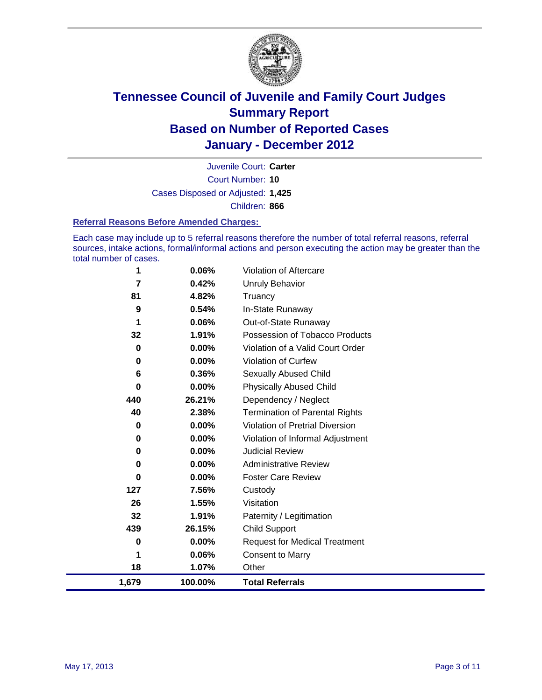

Court Number: **10** Juvenile Court: **Carter** Cases Disposed or Adjusted: **1,425** Children: **866**

#### **Referral Reasons Before Amended Charges:**

Each case may include up to 5 referral reasons therefore the number of total referral reasons, referral sources, intake actions, formal/informal actions and person executing the action may be greater than the total number of cases.

| 1         | 0.06%    | Violation of Aftercare                 |
|-----------|----------|----------------------------------------|
| 7         | 0.42%    | <b>Unruly Behavior</b>                 |
| 81        | 4.82%    | Truancy                                |
| 9         | 0.54%    | In-State Runaway                       |
| 1         | 0.06%    | Out-of-State Runaway                   |
| 32        | 1.91%    | Possession of Tobacco Products         |
| 0         | 0.00%    | Violation of a Valid Court Order       |
| 0         | $0.00\%$ | Violation of Curfew                    |
| 6         | 0.36%    | <b>Sexually Abused Child</b>           |
| 0         | $0.00\%$ | <b>Physically Abused Child</b>         |
| 440       | 26.21%   | Dependency / Neglect                   |
| 40        | 2.38%    | <b>Termination of Parental Rights</b>  |
| 0         | $0.00\%$ | <b>Violation of Pretrial Diversion</b> |
| 0         | 0.00%    | Violation of Informal Adjustment       |
| 0         | $0.00\%$ | <b>Judicial Review</b>                 |
| 0         | $0.00\%$ | <b>Administrative Review</b>           |
| 0         | 0.00%    | <b>Foster Care Review</b>              |
| 127       | 7.56%    | Custody                                |
| 26        | 1.55%    | Visitation                             |
| 32        | 1.91%    | Paternity / Legitimation               |
| 439       | 26.15%   | <b>Child Support</b>                   |
| $\pmb{0}$ | 0.00%    | <b>Request for Medical Treatment</b>   |
| 1         | 0.06%    | <b>Consent to Marry</b>                |
| 18        | 1.07%    | Other                                  |
| 1,679     | 100.00%  | <b>Total Referrals</b>                 |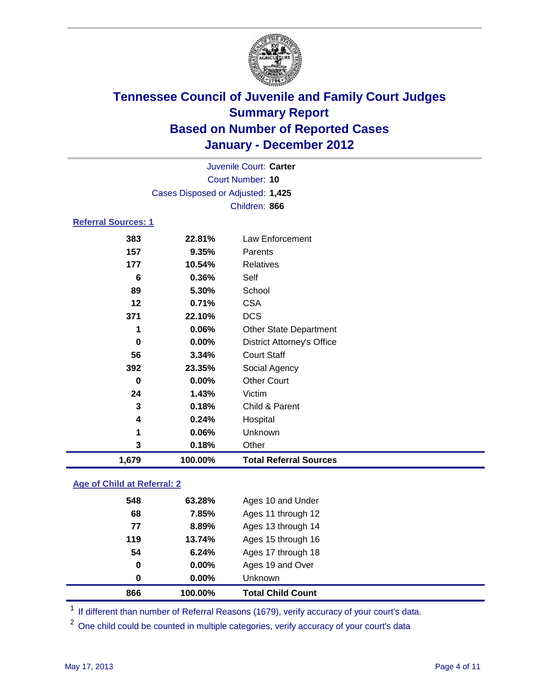

| Juvenile Court: Carter            |                                    |                                   |  |  |  |  |
|-----------------------------------|------------------------------------|-----------------------------------|--|--|--|--|
|                                   | <b>Court Number: 10</b>            |                                   |  |  |  |  |
| Cases Disposed or Adjusted: 1,425 |                                    |                                   |  |  |  |  |
|                                   |                                    | Children: 866                     |  |  |  |  |
| <b>Referral Sources: 1</b>        |                                    |                                   |  |  |  |  |
| 383                               | 22.81%                             | Law Enforcement                   |  |  |  |  |
| 157                               | 9.35%                              | Parents                           |  |  |  |  |
| 177                               | 10.54%                             | <b>Relatives</b>                  |  |  |  |  |
| 6                                 | 0.36%                              | Self                              |  |  |  |  |
| 89                                | 5.30%                              | School                            |  |  |  |  |
| 12                                | 0.71%                              | <b>CSA</b>                        |  |  |  |  |
| 371                               | 22.10%                             | <b>DCS</b>                        |  |  |  |  |
| 1                                 | 0.06%                              | <b>Other State Department</b>     |  |  |  |  |
| 0                                 | 0.00%                              | <b>District Attorney's Office</b> |  |  |  |  |
| 56                                | 3.34%                              | <b>Court Staff</b>                |  |  |  |  |
| 392                               | 23.35%                             | Social Agency                     |  |  |  |  |
| 0                                 | 0.00%                              | <b>Other Court</b>                |  |  |  |  |
| 24                                | 1.43%                              | Victim                            |  |  |  |  |
| 3                                 | 0.18%                              | Child & Parent                    |  |  |  |  |
| 4                                 | 0.24%                              | Hospital                          |  |  |  |  |
| 1                                 | 0.06%                              | Unknown                           |  |  |  |  |
| 3                                 | 0.18%                              | Other                             |  |  |  |  |
| 1,679                             | 100.00%                            | <b>Total Referral Sources</b>     |  |  |  |  |
|                                   | <b>Age of Child at Referral: 2</b> |                                   |  |  |  |  |
| <b>EAO</b>                        | 62.2001<br>$A$ aco $40$ and llader |                                   |  |  |  |  |

| 866 | 100.00%  | <b>Total Child Count</b> |
|-----|----------|--------------------------|
| 0   | $0.00\%$ | <b>Unknown</b>           |
| 0   | 0.00%    | Ages 19 and Over         |
| 54  | 6.24%    | Ages 17 through 18       |
| 119 | 13.74%   | Ages 15 through 16       |
| 77  | 8.89%    | Ages 13 through 14       |
| 68  | 7.85%    | Ages 11 through 12       |
| J40 | 0J.ZO70  | Ages to all ullel        |

<sup>1</sup> If different than number of Referral Reasons (1679), verify accuracy of your court's data.

<sup>2</sup> One child could be counted in multiple categories, verify accuracy of your court's data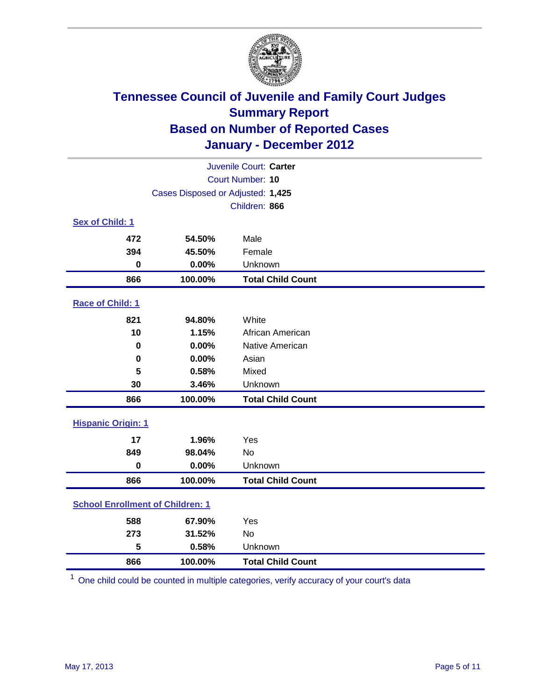

| Juvenile Court: Carter                  |                                   |                          |  |  |
|-----------------------------------------|-----------------------------------|--------------------------|--|--|
| Court Number: 10                        |                                   |                          |  |  |
|                                         | Cases Disposed or Adjusted: 1,425 |                          |  |  |
|                                         |                                   | Children: 866            |  |  |
| Sex of Child: 1                         |                                   |                          |  |  |
| 472                                     | 54.50%                            | Male                     |  |  |
| 394                                     | 45.50%                            | Female                   |  |  |
| $\mathbf 0$                             | 0.00%                             | Unknown                  |  |  |
| 866                                     | 100.00%                           | <b>Total Child Count</b> |  |  |
| Race of Child: 1                        |                                   |                          |  |  |
| 821                                     | 94.80%                            | White                    |  |  |
| 10                                      | 1.15%                             | African American         |  |  |
| 0                                       | 0.00%                             | Native American          |  |  |
| $\mathbf 0$                             | 0.00%                             | Asian                    |  |  |
| 5                                       | 0.58%                             | Mixed                    |  |  |
| 30                                      | 3.46%                             | Unknown                  |  |  |
| 866                                     | 100.00%                           | <b>Total Child Count</b> |  |  |
| <b>Hispanic Origin: 1</b>               |                                   |                          |  |  |
| 17                                      | 1.96%                             | Yes                      |  |  |
| 849                                     | 98.04%                            | No                       |  |  |
| $\mathbf 0$                             | 0.00%                             | Unknown                  |  |  |
| 866                                     | 100.00%                           | <b>Total Child Count</b> |  |  |
| <b>School Enrollment of Children: 1</b> |                                   |                          |  |  |
| 588                                     | 67.90%                            | Yes                      |  |  |
| 273                                     | 31.52%                            | <b>No</b>                |  |  |
| 5                                       | 0.58%                             | Unknown                  |  |  |
| 866                                     | 100.00%                           | <b>Total Child Count</b> |  |  |

One child could be counted in multiple categories, verify accuracy of your court's data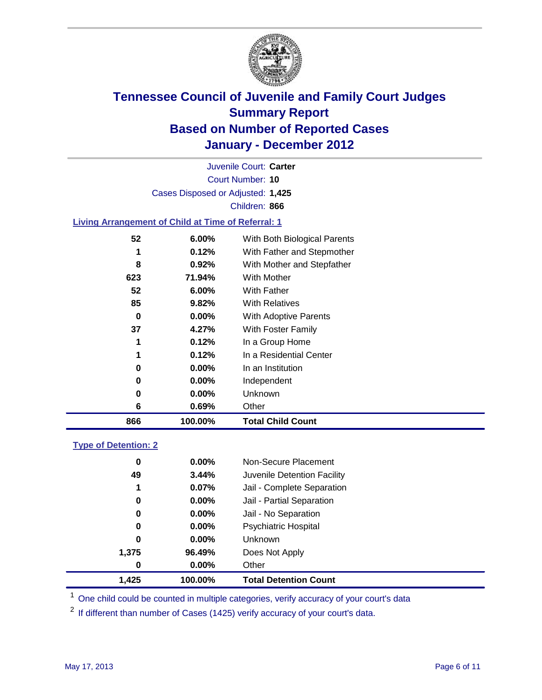

Court Number: **10** Juvenile Court: **Carter** Cases Disposed or Adjusted: **1,425** Children: **866**

### **Living Arrangement of Child at Time of Referral: 1**

| 866 | 100.00%  | <b>Total Child Count</b>     |
|-----|----------|------------------------------|
| 6   | 0.69%    | Other                        |
| 0   | $0.00\%$ | Unknown                      |
| 0   | $0.00\%$ | Independent                  |
| 0   | $0.00\%$ | In an Institution            |
|     | 0.12%    | In a Residential Center      |
| 1   | 0.12%    | In a Group Home              |
| 37  | 4.27%    | With Foster Family           |
| 0   | $0.00\%$ | With Adoptive Parents        |
| 85  | 9.82%    | <b>With Relatives</b>        |
| 52  | 6.00%    | With Father                  |
| 623 | 71.94%   | With Mother                  |
| 8   | 0.92%    | With Mother and Stepfather   |
|     | 0.12%    | With Father and Stepmother   |
| 52  | 6.00%    | With Both Biological Parents |
|     |          |                              |

### **Type of Detention: 2**

| 1.425 | 100.00%  | <b>Total Detention Count</b> |
|-------|----------|------------------------------|
| 0     | $0.00\%$ | Other                        |
| 1,375 | 96.49%   | Does Not Apply               |
| 0     | $0.00\%$ | <b>Unknown</b>               |
| 0     | $0.00\%$ | <b>Psychiatric Hospital</b>  |
| 0     | 0.00%    | Jail - No Separation         |
| 0     | $0.00\%$ | Jail - Partial Separation    |
| 1     | 0.07%    | Jail - Complete Separation   |
| 49    | 3.44%    | Juvenile Detention Facility  |
| 0     | $0.00\%$ | Non-Secure Placement         |
|       |          |                              |

<sup>1</sup> One child could be counted in multiple categories, verify accuracy of your court's data

<sup>2</sup> If different than number of Cases (1425) verify accuracy of your court's data.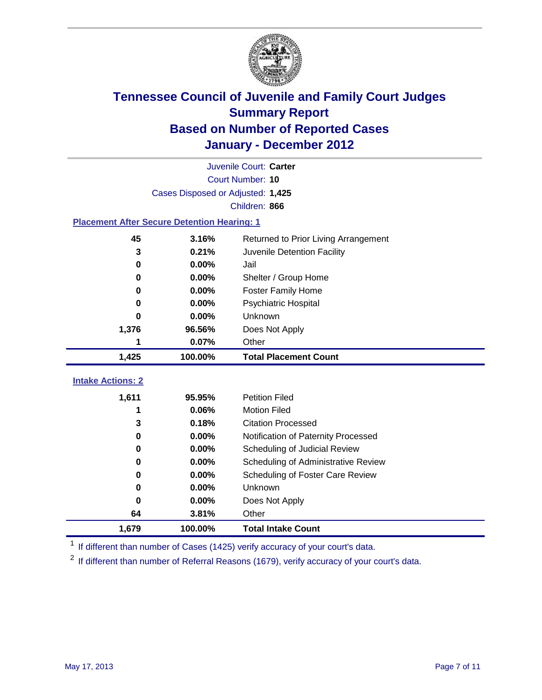

| Juvenile Court: Carter                             |                                   |                                      |  |  |  |
|----------------------------------------------------|-----------------------------------|--------------------------------------|--|--|--|
|                                                    | Court Number: 10                  |                                      |  |  |  |
|                                                    | Cases Disposed or Adjusted: 1,425 |                                      |  |  |  |
|                                                    |                                   | Children: 866                        |  |  |  |
| <b>Placement After Secure Detention Hearing: 1</b> |                                   |                                      |  |  |  |
| 45                                                 | 3.16%                             | Returned to Prior Living Arrangement |  |  |  |
| $\mathbf 3$                                        | 0.21%                             | Juvenile Detention Facility          |  |  |  |
| $\bf{0}$                                           | 0.00%                             | Jail                                 |  |  |  |
| $\bf{0}$                                           | 0.00%                             | Shelter / Group Home                 |  |  |  |
| 0                                                  | 0.00%                             | <b>Foster Family Home</b>            |  |  |  |
| 0                                                  | 0.00%                             | Psychiatric Hospital                 |  |  |  |
| Ω                                                  | $0.00\%$                          | Unknown                              |  |  |  |
| 1,376                                              | 96.56%                            | Does Not Apply                       |  |  |  |
| 1                                                  | 0.07%                             | Other                                |  |  |  |
| 1,425                                              | 100.00%                           | <b>Total Placement Count</b>         |  |  |  |
|                                                    |                                   |                                      |  |  |  |
| <b>Intake Actions: 2</b>                           |                                   |                                      |  |  |  |
| 1,611                                              | 95.95%                            | <b>Petition Filed</b>                |  |  |  |
| 1                                                  | 0.06%                             | <b>Motion Filed</b>                  |  |  |  |
| 3                                                  | 0.18%                             | <b>Citation Processed</b>            |  |  |  |
| $\bf{0}$                                           | 0.00%                             | Notification of Paternity Processed  |  |  |  |
| 0                                                  | 0.00%                             | Scheduling of Judicial Review        |  |  |  |
| 0                                                  | 0.00%                             | Scheduling of Administrative Review  |  |  |  |
| 0                                                  | 0.00%                             | Scheduling of Foster Care Review     |  |  |  |
| 0                                                  | 0.00%                             | Unknown                              |  |  |  |
| 0                                                  | 0.00%                             | Does Not Apply                       |  |  |  |
| 64                                                 | 3.81%                             | Other                                |  |  |  |
| 1,679                                              | 100.00%                           | <b>Total Intake Count</b>            |  |  |  |

<sup>1</sup> If different than number of Cases (1425) verify accuracy of your court's data.

<sup>2</sup> If different than number of Referral Reasons (1679), verify accuracy of your court's data.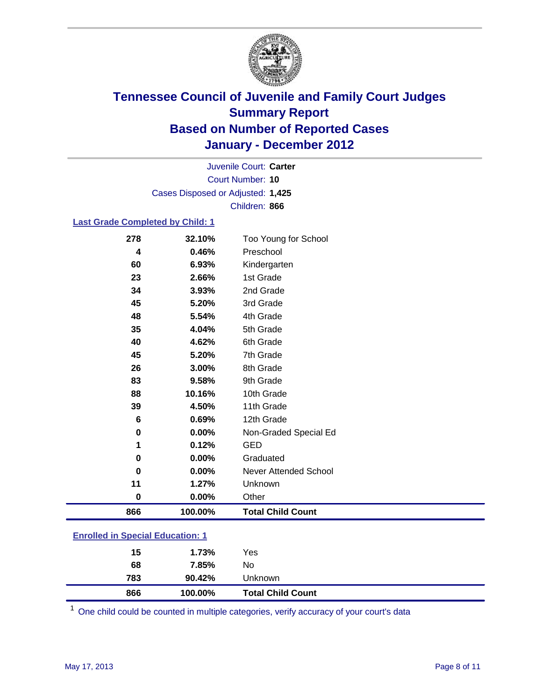

Court Number: **10** Juvenile Court: **Carter** Cases Disposed or Adjusted: **1,425** Children: **866**

### **Last Grade Completed by Child: 1**

| 278                                     | 32.10%  | Too Young for School         |  |
|-----------------------------------------|---------|------------------------------|--|
| 4                                       | 0.46%   | Preschool                    |  |
| 60                                      | 6.93%   | Kindergarten                 |  |
| 23                                      | 2.66%   | 1st Grade                    |  |
| 34                                      | 3.93%   | 2nd Grade                    |  |
| 45                                      | 5.20%   | 3rd Grade                    |  |
| 48                                      | 5.54%   | 4th Grade                    |  |
| 35                                      | 4.04%   | 5th Grade                    |  |
| 40                                      | 4.62%   | 6th Grade                    |  |
| 45                                      | 5.20%   | 7th Grade                    |  |
| 26                                      | 3.00%   | 8th Grade                    |  |
| 83                                      | 9.58%   | 9th Grade                    |  |
| 88                                      | 10.16%  | 10th Grade                   |  |
| 39                                      | 4.50%   | 11th Grade                   |  |
| 6                                       | 0.69%   | 12th Grade                   |  |
| 0                                       | 0.00%   | Non-Graded Special Ed        |  |
| 1                                       | 0.12%   | <b>GED</b>                   |  |
| 0                                       | 0.00%   | Graduated                    |  |
| 0                                       | 0.00%   | <b>Never Attended School</b> |  |
| 11                                      | 1.27%   | Unknown                      |  |
| $\mathbf 0$                             | 0.00%   | Other                        |  |
| 866                                     | 100.00% | <b>Total Child Count</b>     |  |
| <b>Enrolled in Special Education: 1</b> |         |                              |  |

| 866 | 100.00% | <b>Total Child Count</b> |
|-----|---------|--------------------------|
| 783 | 90.42%  | Unknown                  |
| 68  | 7.85%   | No                       |
| 15  | 1.73%   | Yes                      |
|     |         |                          |

One child could be counted in multiple categories, verify accuracy of your court's data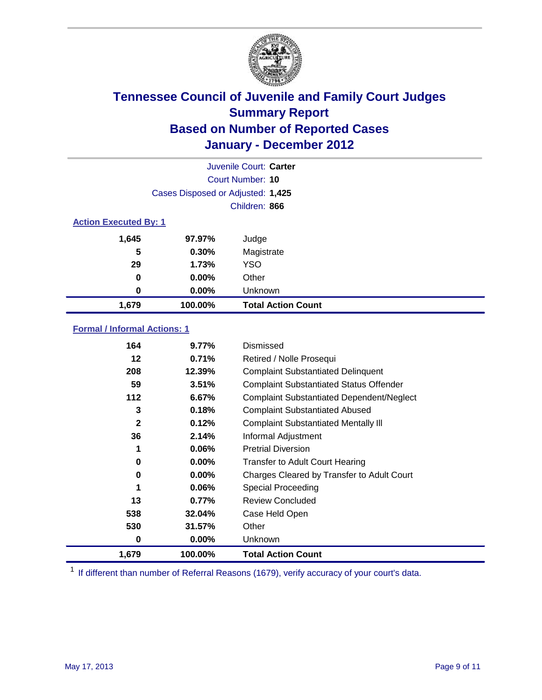

|                              |                                   | Juvenile Court: Carter    |
|------------------------------|-----------------------------------|---------------------------|
|                              |                                   | Court Number: 10          |
|                              | Cases Disposed or Adjusted: 1,425 |                           |
|                              |                                   | Children: 866             |
| <b>Action Executed By: 1</b> |                                   |                           |
| 1,645                        | 97.97%                            | Judge                     |
| 5                            | 0.30%                             | Magistrate                |
| 29                           | 1.73%                             | <b>YSO</b>                |
| 0                            | $0.00\%$                          | Other                     |
| 0                            | 0.00%                             | Unknown                   |
| 1,679                        | 100.00%                           | <b>Total Action Count</b> |

### **Formal / Informal Actions: 1**

| 164          | 9.77%    | Dismissed                                        |
|--------------|----------|--------------------------------------------------|
| 12           | 0.71%    | Retired / Nolle Prosequi                         |
| 208          | 12.39%   | <b>Complaint Substantiated Delinquent</b>        |
| 59           | 3.51%    | <b>Complaint Substantiated Status Offender</b>   |
| 112          | 6.67%    | <b>Complaint Substantiated Dependent/Neglect</b> |
| 3            | 0.18%    | <b>Complaint Substantiated Abused</b>            |
| $\mathbf{2}$ | 0.12%    | <b>Complaint Substantiated Mentally III</b>      |
| 36           | 2.14%    | Informal Adjustment                              |
|              | $0.06\%$ | <b>Pretrial Diversion</b>                        |
| 0            | $0.00\%$ | <b>Transfer to Adult Court Hearing</b>           |
| 0            | $0.00\%$ | Charges Cleared by Transfer to Adult Court       |
| 1            | 0.06%    | Special Proceeding                               |
| 13           | 0.77%    | <b>Review Concluded</b>                          |
| 538          | 32.04%   | Case Held Open                                   |
| 530          | 31.57%   | Other                                            |
| 0            | $0.00\%$ | <b>Unknown</b>                                   |
| 1,679        | 100.00%  | <b>Total Action Count</b>                        |

<sup>1</sup> If different than number of Referral Reasons (1679), verify accuracy of your court's data.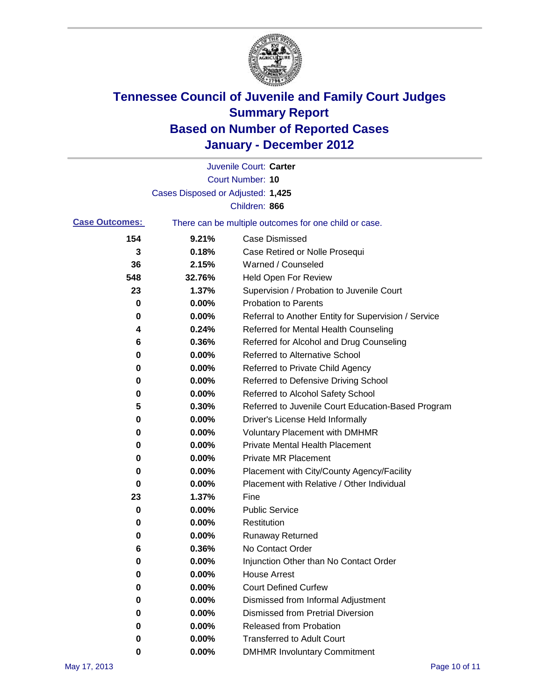

|                       |                                   | Juvenile Court: Carter                                |
|-----------------------|-----------------------------------|-------------------------------------------------------|
|                       |                                   | Court Number: 10                                      |
|                       | Cases Disposed or Adjusted: 1,425 |                                                       |
|                       |                                   | Children: 866                                         |
| <b>Case Outcomes:</b> |                                   | There can be multiple outcomes for one child or case. |
| 154                   | 9.21%                             | <b>Case Dismissed</b>                                 |
| 3                     | 0.18%                             | Case Retired or Nolle Prosequi                        |
| 36                    | 2.15%                             | Warned / Counseled                                    |
| 548                   | 32.76%                            | <b>Held Open For Review</b>                           |
| 23                    | 1.37%                             | Supervision / Probation to Juvenile Court             |
| 0                     | 0.00%                             | <b>Probation to Parents</b>                           |
| 0                     | 0.00%                             | Referral to Another Entity for Supervision / Service  |
| 4                     | 0.24%                             | Referred for Mental Health Counseling                 |
| 6                     | 0.36%                             | Referred for Alcohol and Drug Counseling              |
| 0                     | 0.00%                             | <b>Referred to Alternative School</b>                 |
| 0                     | 0.00%                             | Referred to Private Child Agency                      |
| 0                     | 0.00%                             | Referred to Defensive Driving School                  |
| 0                     | 0.00%                             | Referred to Alcohol Safety School                     |
| 5                     | 0.30%                             | Referred to Juvenile Court Education-Based Program    |
| 0                     | 0.00%                             | Driver's License Held Informally                      |
| 0                     | 0.00%                             | <b>Voluntary Placement with DMHMR</b>                 |
| 0                     | 0.00%                             | <b>Private Mental Health Placement</b>                |
| 0                     | 0.00%                             | <b>Private MR Placement</b>                           |
| 0                     | 0.00%                             | Placement with City/County Agency/Facility            |
| 0                     | 0.00%                             | Placement with Relative / Other Individual            |
| 23                    | 1.37%                             | Fine                                                  |
| 0                     | 0.00%                             | <b>Public Service</b>                                 |
| 0                     | 0.00%                             | Restitution                                           |
| 0                     | 0.00%                             | <b>Runaway Returned</b>                               |
| 6                     | 0.36%                             | No Contact Order                                      |
| 0                     | 0.00%                             | Injunction Other than No Contact Order                |
| 0                     | 0.00%                             | <b>House Arrest</b>                                   |
| 0                     | 0.00%                             | <b>Court Defined Curfew</b>                           |
| 0                     | 0.00%                             | Dismissed from Informal Adjustment                    |
| 0                     | 0.00%                             | <b>Dismissed from Pretrial Diversion</b>              |
| 0                     | 0.00%                             | Released from Probation                               |
| 0                     | 0.00%                             | <b>Transferred to Adult Court</b>                     |
| 0                     | $0.00\%$                          | <b>DMHMR Involuntary Commitment</b>                   |